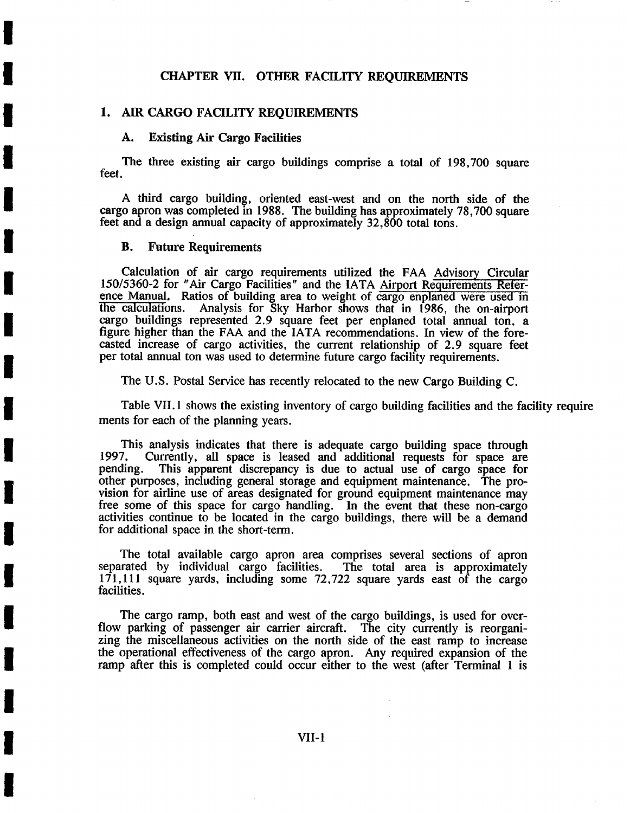## CHAPTER VII. OTHER FACILITY REQUIREMENTS

#### 1. AIR CARGO FACILITY REQUIREMENTS

## **A. Existing Air Cargo Facilities**

**I** 

**!** 

**I** 

**I** 

**I** 

**I** 

**I** 

**I** 

**I** 

**I** 

**I** 

**I** 

**I** 

**!** 

**I** 

**I** 

**I** 

**I** 

The three existing air cargo buildings comprise a total of 198,700 square feet.

A third cargo building, oriented east-west and on the north side of the cargo apron was completed in 1988. The building has approximately 78,700 square feet and a design annual capacity of approximately 32,800 total tons.

### **B. Future Requirements**

Calculation of air cargo requirements utilized the FAA Advisory Circular 150/5360-2 for "Air Cargo Facilities" and the IATA Airport Requirements Refer' ence Manual, Ratios of building area to weight of cargo enplaned were used in the calculations. Analysis for Sky Harbor shows that in 1986, the on-airport cargo buildings represented 2.9 square feet per enplaned total annual ton, a figure higher than the FAA and the IATA recommendations. In view of the forecasted increase of cargo activities, the current relationship of 2.9 square feet per total annual ton was used to determine future cargo facility requirements.

The U.S. Postal Service has recently relocated to the new Cargo Building C.

Table VII. 1 shows the existing inventory of cargo building facilities and the facility require ments for each of the planning years.

This analysis indicates that there is adequate cargo building space through 1997. Currently, all space is leased and additional requests for space are 1997. Currently, all space is leased and additional requests for space are This apparent discrepancy is due to actual use of cargo space for other purposes, including general storage and equipment maintenance. The provision for airline use of areas designated for ground equipment maintenance may free some of this space for cargo handling. In the event that these non-cargo activities continue to be located in the cargo buildings, there will be a demand for additional space in the short-term.

The total available cargo apron area comprises several sections of apron rated by individual cargo facilities. The total area is approximately separated by individual cargo facilities.  $171,111$  square yards, including some  $72,722$  square yards east of the cargo facilities.

The cargo ramp, both east and west of the cargo buildings, is used for overflow parking of passenger air carrier aircraft. The city currently is reorganizing the miscellaneous activities on the north side of the east ramp to increase the operational effectiveness of the cargo apron. Any required expansion of the ramp after this is completed could occur either to the west (after Terminal 1 is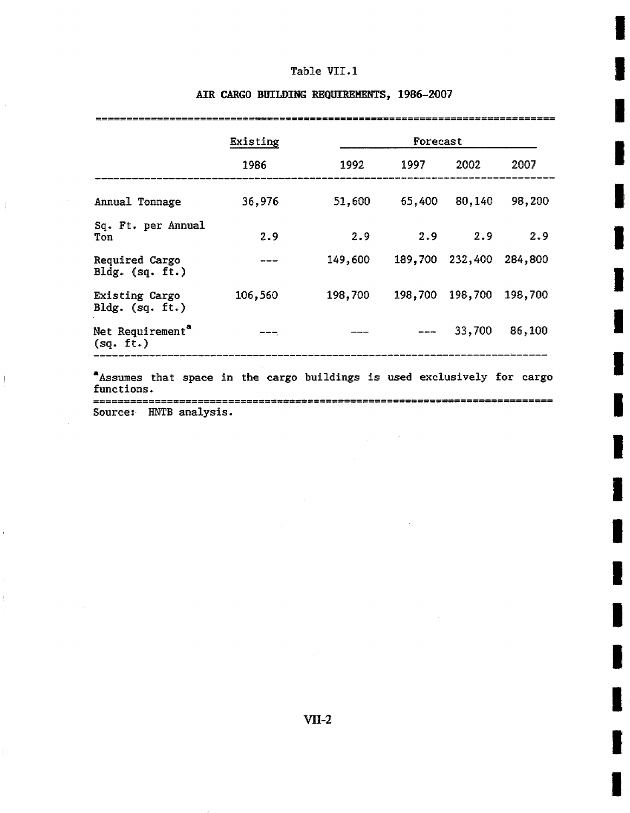# Table VII.1

|                                           | Existing<br>1986 | Forecast |         |         |         |
|-------------------------------------------|------------------|----------|---------|---------|---------|
|                                           |                  | 1992     | 1997    | 2002    | 2007    |
| Annual Tonnage                            | 36,976           | 51,600   | 65,400  | 80,140  | 98,200  |
| Sq. Ft. per Annual<br>Ton                 | 2.9              | 2.9      | 2.9     | 2.9     | 2.9     |
| Required Cargo<br>Bldg. $(sq. ft.)$       |                  | 149,600  | 189,700 | 232,400 | 284,800 |
| Existing Cargo<br>$Bldg.$ (sq. ft.)       | 106,560          | 198,700  | 198,700 | 198,700 | 198,700 |
| Net Requirement <sup>a</sup><br>(sq. ft.) |                  |          |         | 33,700  | 86,100  |

# AIR CARGO BUILDING REQUIREMENTS, 1986-2007

 $\cdot$ 

 $\frac{1}{2}$ 

 $\begin{array}{c} \hline \end{array}$ 

buildings used exclusively Assumes that space in the cargo ror ca rgo functions. =========================== Source: HNTB analysis.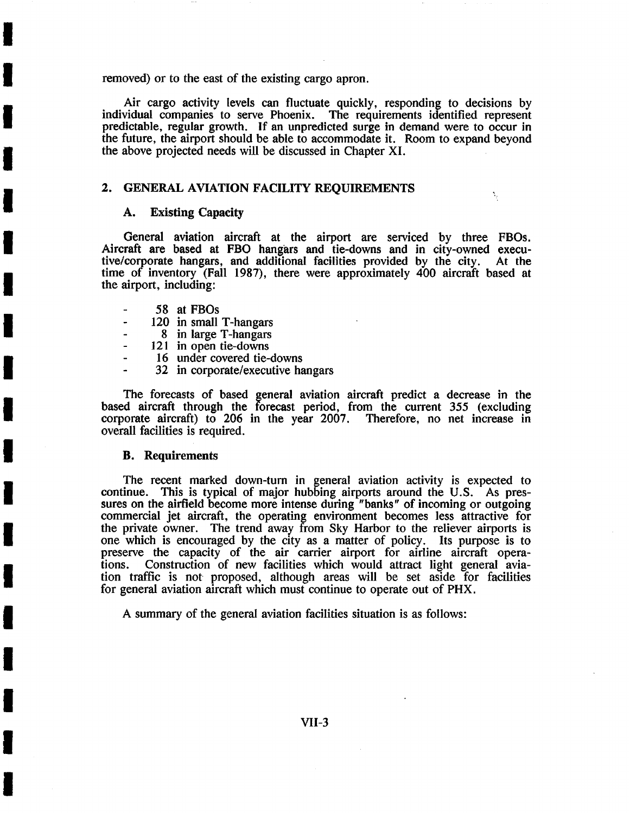removed) or to the east of the existing cargo apron.

Air cargo activity levels can fluctuate quickly, responding to decisions by individual companies to serve Phoenix. The requirements identified represent predictable, regular growth. If an unpredicted surge in demand were to occur in the future, the airport should be able to accommodate it. Room to expand beyond the above projected needs will be discussed in Chapter XI.

### 2. GENERAL AVIATION FACILITY REQUIREMENTS

# **A. Existing Capacity**

**!** 

**I** 

**I** 

**I** 

**I** 

**I** 

**I** 

**i** 

**I** 

**I** 

**!** 

**I** 

**I** 

**I** 

**I** 

**I** 

**i** 

**I** 

General aviation aircraft at the airport are serviced by three FBOs. Aircraft are based at FBO hangars and tie-downs and in city-owned execu-<br>tive/corporate hangars, and additional facilities provided by the city. At the tive/corporate hangars, and additional facilities provided by the city. time of inventory (Fall 1987), there were approximately 400 aircraft based at the airport, including:

N,

- 58 at FBOs
- 120 in small T-hangars  $\overline{a}$
- 8 in large T-hangars
- 121 in open tie-downs
- 16 under covered tie-downs
- 32 in corporate/executive hangars

The forecasts of based general aviation aircraft predict a decrease in the based aircraft through the torecast period, from the current 355 (excluding corporate aircraft) to 206 in the year 2007. Therefore, no net increase in overall facilities is required.

#### **B. Requirements**

The recent marked down-turn in general aviation activity is expected to continue. This is typical of major hubbing.airports around the U.S. As pressures on the airfield become more intense during "banks" of incoming or outgoing commercial jet aircraft, the operating environment becomes less attractive for the private owner. The trend away from Sky Harbor to the reliever airports is one which is encouraged by the city as a matter of policy. Its purpose is to preserve the capacity of the air carrier airport for airline aircraft opera-<br>tions. Construction of new facilities which would attract light general avia-Construction of new facilities which would attract light general aviation traffic is not proposed, although areas will be set aside for facilities for general aviation aircraft which must continue to operate out of PHX.

A summary of the general aviation facilities situation is as follows: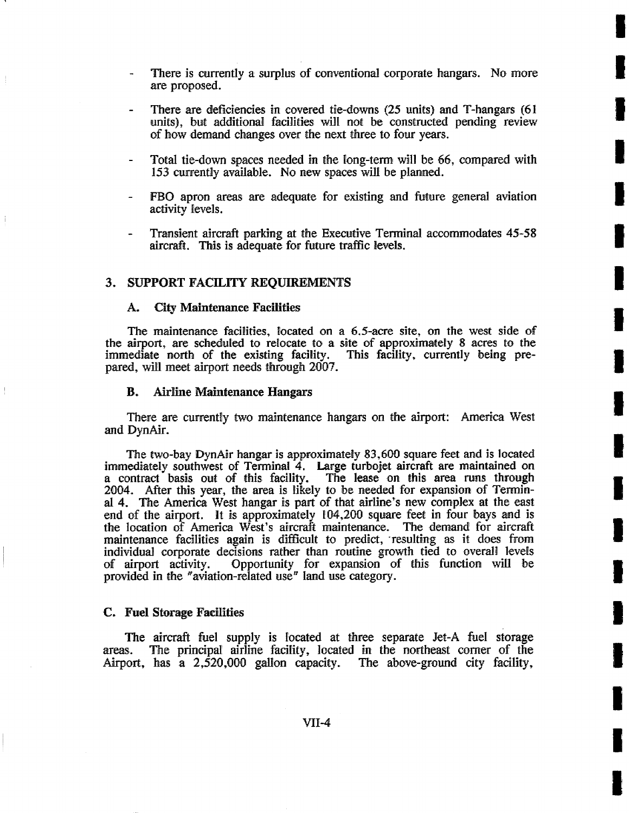There is currently a surplus of conventional corporate hangars. No more are proposed.

**I** 

**!** 

**I** 

**I** 

**I** 

**I** 

**!** 

**I** 

**I** 

**!** 

**I** 

**I** 

**I** 

**!** 

**I** 

**I** 

**i** 

- There are deficiencies in covered tie-downs (25 units) and T-hangars (61 units), but additional facilities will not be constructed pending review of how demand changes ever the next three to four years.
- Total tie-down spaces needed in the long-term will be 66, compared with 153 currently available. No new spaces will be planned.
- FBO apron areas are adequate for existing and future general aviation activity levels.
- Transient aircraft parking at the Executive Terminal accommodates 45-58 aircraft. This is adequate for future traffic levels.

### 3. SUPPORT FACILITY REQUIREMENTS

#### **A. City Maintenance Facilities**

The maintenance facilities, located on a 6.5-acre site, on the west side of the airport, are scheduled to relocate to a site of approxima¢e|y 8 acres to the immediate north of the existing facility. This facility, currently being prepared, will meet airport needs through 2007.

#### **B. Airline Maintenance Hangars**

There are currently two maintenance hangars on the airport: America West and DynAir.

The two-bay DynAir hangar is approximately 83,600 square feet and is located immediately southwest of Terminal 4. Large turbojet aircraft are maintained on a contract basis out of this facility. The lease on this area runs through 2004. After this year, the area is likely to be needed for expansion of Terminal 4. The America West hangar is part of that airline's new complex at the east end of the airport. It is approximately  $104,200$  square feet in four bays and is the location of America West's aircraft maintenance. The demand for aircraft maintenance facilities again is difficult to predict, resulting as it does from individual corporate decisions rather than routine growth tied to overall levels of airport activity. Opportunity for expansion of this ftmction will be provided in the "aviation-related use" land use category.

#### **C. Fuel Storage Facilities**

The aircraft fuel supply is Focated at three separate Jet-A fuel storage areas. The principal airline facility, located in the northeast corner of the Airport, has a 2,520,000 gallon capacity. The above-ground city facility,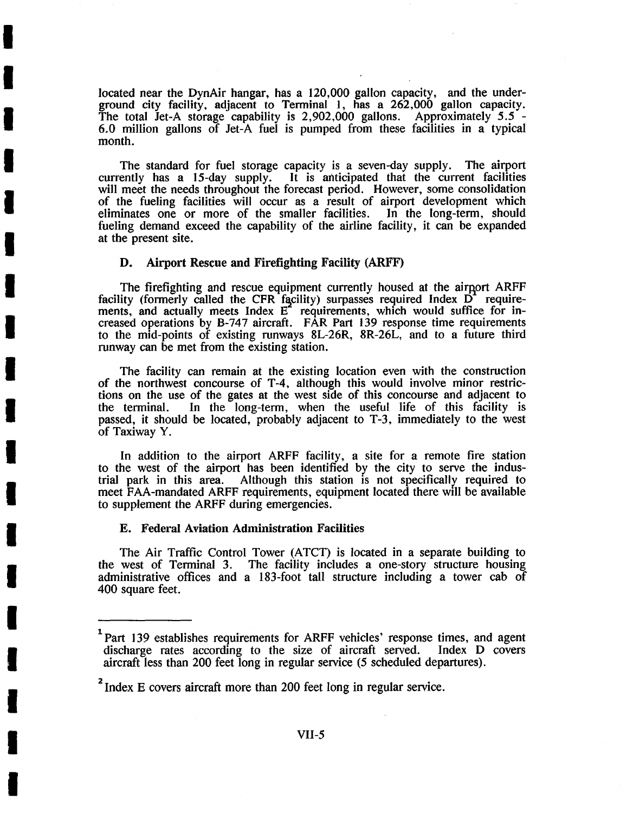located near the DynAir hangar, has a 120,000 gallon capacity, and the underground city facility, adjacent to Terminal 1, has a 262,000 gallon capacity. The total Jet-A storage capability is 2,902,000 gallons. Approximately 5.5 -6.0 million gallons of Jet-A fuel is pumped from these facilities in a typical month.

The standard for fuel storage capacity is a seven-day supply. The airport currently has a 15-day supply. It is anticipated that the current facilities It is anticipated that the current facilities will meet the needs throughout the forecast period. However, some consolidation of the fueling facilities will occur as a result of airport development which eliminates one or more of the smaller facilities. In the long-term, should fueling demand exceed the capability of the airline facility, it can be expanded at the present site.

## D. Airport Rescue and Firefighting Facility (ARFF)

**I** 

**I** 

**I** 

**I** 

**I** 

**I** 

**I** 

**I** 

**I** 

**I** 

**I** 

**I** 

**I** 

**I** 

**I** 

**I** 

**I** 

**I** 

The firefighting and rescue equipment currently housed at the airport ARFF facility (formerly called the CFR facility) surpasses required Index  $\overrightarrow{D}$  requirements, and actually meets Index  $E^2$  requirements, which would suffice for increased operations by B-747 aircraft. FAR Part 139 response time requirements to the mid-points of existing runways 8L-26R, 8R-26L, and to a future third runway can be met from the existing station.

The facility can remain at the existing location even with the construction of the northwest concourse of T-4, although this would involve minor restrictions on the use of the gates at the west side of this concourse and adjacent to the terminal. In the long-term, when the useful life of this facility is passed, it should be located, probably adjacent to T-3, immediately to the west of Taxiway Y.

In addition to the airport ARFF facility, a site for a remote fire station to the west of the airport has been identified by the city to serve the industrial park in this area. Although this station is not specifically required to Although this station is not specifically required to meet FAA-mandated ARFF requirements, equipment located there will be available to supplement the ARFF during emergencies.

#### **E. Federal Aviation Administration Facilities**

The Air Traffic Control Tower (ATCT) is located in a separate building to the west of Terminal 3. The facility includes a one-story structure housing administrative offices and a 183-foot tall structure including a tower cab of 400 square feet.

<sup>&</sup>lt;sup>1</sup> Part 139 establishes requirements for ARFF vehicles' response times, and agent discharge rates according to the size of aircraft served. Index D covers aircraft less than 200 feet long in regular service (5 scheduled departures).

<sup>&</sup>lt;sup>2</sup> Index E covers aircraft more than 200 feet long in regular service.